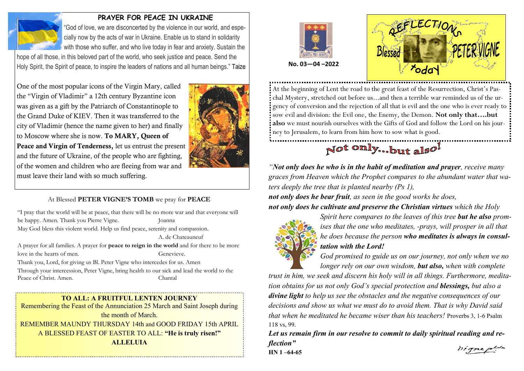

## **PRAYER FOR PEACE IN UKRAINE**

"God of love, we are disconcerted by the violence in our world, and especially now by the acts of war in Ukraine. Enable us to stand in solidarity with those who suffer, and who live today in fear and anxiety. Sustain the

hope of all those, in this beloved part of the world, who seek justice and peace. Send the Holy Spirit, the Spirit of peace, to inspire the leaders of nations and all human beings." Taize

One of the most popular icons of the Virgin Mary, called the "Virgin of Vladimir" a 12th century Byzantine icon was given as a gift by the Patriarch of Constantinople to the Grand Duke of KIEV. Then it was transferred to the city of Vladimir (hence the name given to her) and finally to Moscow where she is now. To MARY, Queen of Peace and Virgin of Tenderness, let us entrust the present and the future of Ukraine, of the people who are fighting, of the women and children who are fleeing from war and must leave their land with so much suffering.

## At Blessed **PETER VIGNE'S TOMB** we pray for **PEACE**

"I pray that the world will be at peace, that there will be no more war and that everyone will be happy. Amen. Thank you Pierre Vigne. Joanna May God bless this violent world. Help us find peace, serenity and compassion. A. de Chateauneuf A prayer for all families. A prayer for **peace to reign in the world** and for there to be more love in the hearts of men. Genevieve. Thank you, Lord, for giving us Bl. Peter Vigne who intercedes for us. Amen Through your intercession, Peter Vigne, bring health to our sick and lead the world to the

Peace of Christ. Amen. Chantal

## **TO ALL: A FRUITFUL LENTEN JOURNEY**

Remembering the Feast of the Annunciation 25 March and Saint Joseph during the month of March. REMEMBER MAUNDY THURSDAY 14th and GOOD FRIDAY 15th APRIL A BLESSED FEAST OF EASTER TO ALL: **"He is truly risen!" ALLELUIA**







At the beginning of Lent the road to the great feast of the Resurrection, Christ's Paschal Mystery, stretched out before us...and then a terrible war reminded us of the urgency of conversion and the rejection of all that is evil and the one who is ever ready to sow evil and division: the Evil one, the Enemy, the Demon. **Not only that….but also** we must nourish ourselves with the Gifts of God and follow the Lord on his journey to Jerusalem, to learn from him how to sow what is good.

# Not only...but also!

*"Not only does he who is in the habit of meditation and prayer, receive many graces from Heaven which the Prophet compares to the abundant water that waters deeply the tree that is planted nearby (Ps 1),*

*not only does he bear fruit, as seen in the good works he does, not only does he cultivate and preserve the Christian virtues which the Holy* 



*Spirit here compares to the leaves of this tree but he also promises that the one who meditates, -prays, will prosper in all that he does because the person who meditates is always in consultation with the Lord!*

*God promised to guide us on our journey, not only when we no longer rely on our own wisdom, but also, when with complete* 

*trust in him, we seek and discern his holy will in all things. Furthermore, meditation obtains for us not only God's special protection and blessings, but also a divine light to help us see the obstacles and the negative consequences of our decisions and show us what we must do to avoid them. That is why David said that when he meditated he became wiser than his teachers!* Proverbs 3, 1-6 Psalm 118 vs, 99.

*Let us remain firm in our resolve to commit to daily spiritual reading and reflection"* **HN 1 –64-65**